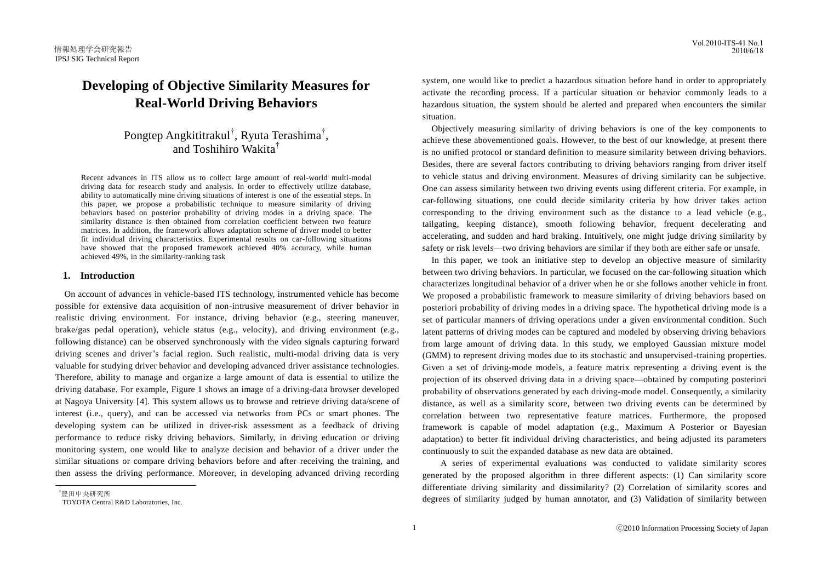# **Developing of Objective Similarity Measures for Real-World Driving Behaviors**

Pongtep Angkititrakul<sup>†</sup>, Ryuta Terashima<sup>†</sup>, and Toshihiro Wakita†

Recent advances in ITS allow us to collect large amount of real-world multi-modal driving data for research study and analysis. In order to effectively utilize database, ability to automatically mine driving situations of interest is one of the essential steps. In this paper, we propose a probabilistic technique to measure similarity of driving behaviors based on posterior probability of driving modes in a driving space. The similarity distance is then obtained from correlation coefficient between two feature matrices. In addition, the framework allows adaptation scheme of driver model to better fit individual driving characteristics. Experimental results on car-following situations have showed that the proposed framework achieved 40% accuracy, while human achieved 49%, in the similarity-ranking task

## **1. Introduction**

On account of advances in vehicle-based ITS technology, instrumented vehicle has become possible for extensive data acquisition of non-intrusive measurement of driver behavior in realistic driving environment. For instance, driving behavior (e.g., steering maneuver, brake/gas pedal operation), vehicle status (e.g., velocity), and driving environment (e.g., following distance) can be observed synchronously with the video signals capturing forward driving scenes and driver"s facial region. Such realistic, multi-modal driving data is very valuable for studying driver behavior and developing advanced driver assistance technologies. Therefore, ability to manage and organize a large amount of data is essential to utilize the driving database. For example, Figure 1 shows an image of a driving-data browser developed at Nagoya University [4]. This system allows us to browse and retrieve driving data/scene of interest (i.e., query), and can be accessed via networks from PCs or smart phones. The developing system can be utilized in driver-risk assessment as a feedback of driving performance to reduce risky driving behaviors. Similarly, in driving education or driving monitoring system, one would like to analyze decision and behavior of a driver under the similar situations or compare driving behaviors before and after receiving the training, and then assess the driving performance. Moreover, in developing advanced driving recording

†豊田中央研究所

 $\overline{a}$ 

system, one would like to predict a hazardous situation before hand in order to appropriately activate the recording process. If a particular situation or behavior commonly leads to a hazardous situation, the system should be alerted and prepared when encounters the similar situation.

Objectively measuring similarity of driving behaviors is one of the key components to achieve these abovementioned goals. However, to the best of our knowledge, at present there is no unified protocol or standard definition to measure similarity between driving behaviors. Besides, there are several factors contributing to driving behaviors ranging from driver itself to vehicle status and driving environment. Measures of driving similarity can be subjective. One can assess similarity between two driving events using different criteria. For example, in car-following situations, one could decide similarity criteria by how driver takes action corresponding to the driving environment such as the distance to a lead vehicle (e.g., tailgating, keeping distance), smooth following behavior, frequent decelerating and accelerating, and sudden and hard braking. Intuitively, one might judge driving similarity by safety or risk levels—two driving behaviors are similar if they both are either safe or unsafe.

In this paper, we took an initiative step to develop an objective measure of similarity between two driving behaviors. In particular, we focused on the car-following situation which characterizes longitudinal behavior of a driver when he or she follows another vehicle in front. We proposed a probabilistic framework to measure similarity of driving behaviors based on posteriori probability of driving modes in a driving space. The hypothetical driving mode is a set of particular manners of driving operations under a given environmental condition. Such latent patterns of driving modes can be captured and modeled by observing driving behaviors from large amount of driving data. In this study, we employed Gaussian mixture model (GMM) to represent driving modes due to its stochastic and unsupervised-training properties. Given a set of driving-mode models, a feature matrix representing a driving event is the projection of its observed driving data in a driving space—obtained by computing posteriori probability of observations generated by each driving-mode model. Consequently, a similarity distance, as well as a similarity score, between two driving events can be determined by correlation between two representative feature matrices. Furthermore, the proposed framework is capable of model adaptation (e.g., Maximum A Posterior or Bayesian adaptation) to better fit individual driving characteristics, and being adjusted its parameters continuously to suit the expanded database as new data are obtained.

 A series of experimental evaluations was conducted to validate similarity scores generated by the proposed algorithm in three different aspects: (1) Can similarity score differentiate driving similarity and dissimilarity? (2) Correlation of similarity scores and degrees of similarity judged by human annotator, and (3) Validation of similarity between

TOYOTA Central R&D Laboratories, Inc.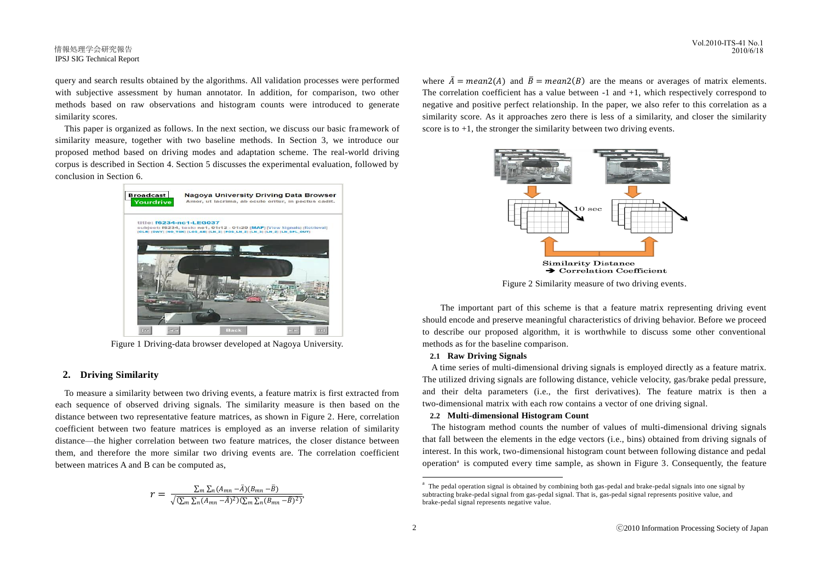#### 情報処理学会研究報告 IPSJ SIG Technical Report

query and search results obtained by the algorithms. All validation processes were performed with subjective assessment by human annotator. In addition, for comparison, two other methods based on raw observations and histogram counts were introduced to generate similarity scores.

This paper is organized as follows. In the next section, we discuss our basic framework of similarity measure, together with two baseline methods. In Section 3, we introduce our proposed method based on driving modes and adaptation scheme. The real-world driving corpus is described in Section 4. Section 5 discusses the experimental evaluation, followed by conclusion in Section 6.



Figure 1 Driving-data browser developed at Nagoya University.

# **2. Driving Similarity**

To measure a similarity between two driving events, a feature matrix is first extracted from each sequence of observed driving signals. The similarity measure is then based on the distance between two representative feature matrices, as shown in Figure 2. Here, correlation coefficient between two feature matrices is employed as an inverse relation of similarity distance—the higher correlation between two feature matrices, the closer distance between them, and therefore the more similar two driving events are. The correlation coefficient between matrices A and B can be computed as,

$$
r = \frac{\sum_m \sum_n (A_{mn} - \bar{A})(B_{mn} - \bar{B})}{\sqrt{(\sum_m \sum_n (A_{mn} - \bar{A})^2)(\sum_m \sum_n (B_{mn} - \bar{B})^2)}},
$$

where  $\bar{A} = \text{mean2}(A)$  and  $\bar{B} = \text{mean2}(B)$  are the means or averages of matrix elements. The correlation coefficient has a value between -1 and +1, which respectively correspond to negative and positive perfect relationship. In the paper, we also refer to this correlation as a similarity score. As it approaches zero there is less of a similarity, and closer the similarity score is to  $+1$ , the stronger the similarity between two driving events.



Figure 2 Similarity measure of two driving events.

The important part of this scheme is that a feature matrix representing driving event should encode and preserve meaningful characteristics of driving behavior. Before we proceed to describe our proposed algorithm, it is worthwhile to discuss some other conventional methods as for the baseline comparison.

#### **2.1 Raw Driving Signals**

A time series of multi-dimensional driving signals is employed directly as a feature matrix. The utilized driving signals are following distance, vehicle velocity, gas/brake pedal pressure, and their delta parameters (i.e., the first derivatives). The feature matrix is then a two-dimensional matrix with each row contains a vector of one driving signal.

## **2.2 Multi-dimensional Histogram Count**

The histogram method counts the number of values of multi-dimensional driving signals that fall between the elements in the edge vectors (i.e., bins) obtained from driving signals of interest. In this work, two-dimensional histogram count between following distance and pedal operation<sup>a</sup> is computed every time sample, as shown in Figure 3. Consequently, the feature

 $\overline{a}$ 

<sup>&</sup>lt;sup>a</sup> The pedal operation signal is obtained by combining both gas-pedal and brake-pedal signals into one signal by subtracting brake-pedal signal from gas-pedal signal. That is, gas-pedal signal represents positive value, and brake-pedal signal represents negative value.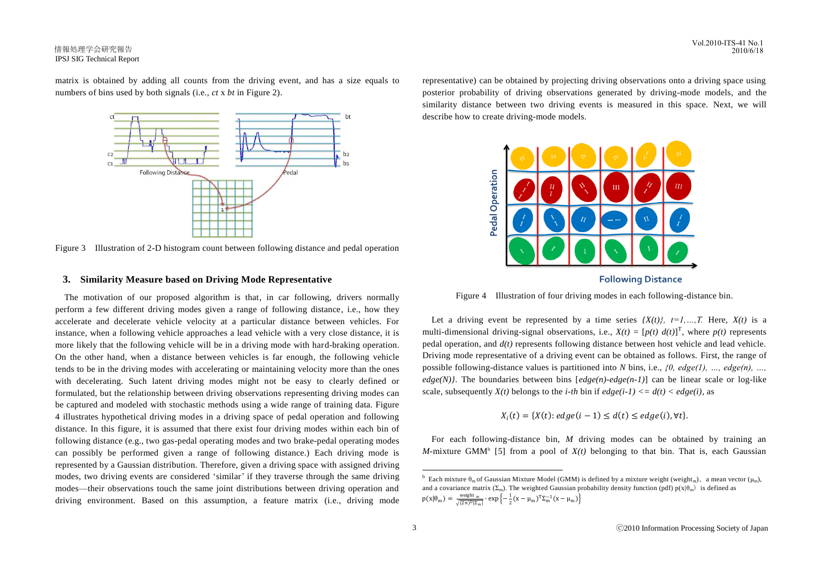## 情報処理学会研究報告 IPSJ SIG Technical Report

matrix is obtained by adding all counts from the driving event, and has a size equals to numbers of bins used by both signals (i.e., *ct* x *bt* in Figure 2).



Figure 3 Illustration of 2-D histogram count between following distance and pedal operation

# **3. Similarity Measure based on Driving Mode Representative**

The motivation of our proposed algorithm is that, in car following, drivers normally perform a few different driving modes given a range of following distance, i.e., how they accelerate and decelerate vehicle velocity at a particular distance between vehicles. For instance, when a following vehicle approaches a lead vehicle with a very close distance, it is more likely that the following vehicle will be in a driving mode with hard-braking operation. On the other hand, when a distance between vehicles is far enough, the following vehicle tends to be in the driving modes with accelerating or maintaining velocity more than the ones with decelerating. Such latent driving modes might not be easy to clearly defined or formulated, but the relationship between driving observations representing driving modes can be captured and modeled with stochastic methods using a wide range of training data. Figure 4 illustrates hypothetical driving modes in a driving space of pedal operation and following distance. In this figure, it is assumed that there exist four driving modes within each bin of following distance (e.g., two gas-pedal operating modes and two brake-pedal operating modes can possibly be performed given a range of following distance.) Each driving mode is represented by a Gaussian distribution. Therefore, given a driving space with assigned driving modes, two driving events are considered "similar" if they traverse through the same driving modes—their observations touch the same joint distributions between driving operation and driving environment. Based on this assumption, a feature matrix (i.e., driving mode representative) can be obtained by projecting driving observations onto a driving space using posterior probability of driving observations generated by driving-mode models, and the similarity distance between two driving events is measured in this space. Next, we will describe how to create driving-mode models.





Figure 4 Illustration of four driving modes in each following-distance bin.

Let a driving event be represented by a time series  ${X(t)}$ ,  $t=1,...,T$ . Here,  $X(t)$  is a multi-dimensional driving-signal observations, i.e.,  $X(t) = [p(t) d(t)]^T$ , where  $p(t)$  represents pedal operation, and *d(t)* represents following distance between host vehicle and lead vehicle. Driving mode representative of a driving event can be obtained as follows. First, the range of possible following-distance values is partitioned into *N* bins, i.e., *{0, edge(1), …, edge(n), …,*   $edge(N)$ . The boundaries between bins  $[edge(n-1)]$  can be linear scale or log-like scale, subsequently  $X(t)$  belongs to the *i-th* bin if  $edge(i-1) \leq d(t) \leq edge(i)$ , as

$$
X_i(t) = \{X(t): edge(i-1) \leq d(t) \leq edge(i), \forall t\}.
$$

For each following-distance bin, *M* driving modes can be obtained by training an *M*-mixture GMM<sup>b</sup> [5] from a pool of  $X(t)$  belonging to that bin. That is, each Gaussian

 $\overline{a}$ 

**b** Each mixture  $\theta_m$  of Gaussian Mixture Model (GMM) is defined by a mixture weight (weight<sub>m</sub>), a mean vector ( $\mu_m$ ), and a covariance matrix ( $\Sigma_m$ ). The weighted Gaussian probability density function (pdf)  $p(x|\theta_m)$  is defined as  $p(x|\theta_m) = \frac{\text{weight m}}{\sqrt{(2\pi)^D |\Sigma_m|}} \cdot \exp\left\{-\frac{1}{2}(x - \mu_m)^T \Sigma_m^{-1}(x - \mu_m)\right\}$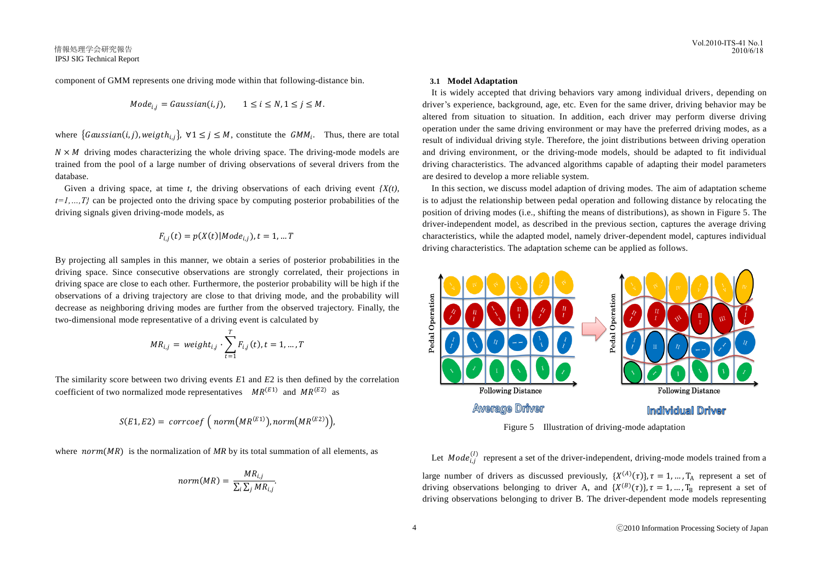component of GMM represents one driving mode within that following-distance bin.

$$
Mode_{i,j} = Gaussian(i,j), \qquad 1 \le i \le N, 1 \le j \le M.
$$

where  $\{Gaussian(i, j), weight_{i,j}\}, \forall 1 \leq j \leq M$ , constitute the  $GMM_i$ . Thus, there are total

 $N \times M$  driving modes characterizing the whole driving space. The driving-mode models are trained from the pool of a large number of driving observations of several drivers from the database.

Given a driving space, at time  $t$ , the driving observations of each driving event  ${X(t)}$ ,  $t=1,...,T<sub>i</sub>$  can be projected onto the driving space by computing posterior probabilities of the driving signals given driving-mode models, as

$$
F_{i,j}(t) = p(X(t)|Mode_{i,j}), t = 1, ... T
$$

By projecting all samples in this manner, we obtain a series of posterior probabilities in the driving space. Since consecutive observations are strongly correlated, their projections in driving space are close to each other. Furthermore, the posterior probability will be high if the observations of a driving trajectory are close to that driving mode, and the probability will decrease as neighboring driving modes are further from the observed trajectory. Finally, the two-dimensional mode representative of a driving event is calculated by

$$
MR_{i,j} = weight_{i,j} \cdot \sum_{t=1}^{T} F_{i,j}(t), t = 1, ..., T
$$

The similarity score between two driving events *E*1 and *E*2 is then defined by the correlation coefficient of two normalized mode representatives  $MR^{(E1)}$  and  $MR^{(E2)}$  as

$$
S(E1, E2) = \text{corrcoef} \left( \text{norm}(MR^{(E1)}), \text{norm}(MR^{(E2)}) \right),
$$

where  $norm(MR)$  is the normalization of MR by its total summation of all elements, as

$$
norm(MR) = \frac{MR_{i,j}}{\sum_{i}\sum_{j}MR_{i,j}}
$$

.

#### **3.1 Model Adaptation**

It is widely accepted that driving behaviors vary among individual drivers, depending on driver"s experience, background, age, etc. Even for the same driver, driving behavior may be altered from situation to situation. In addition, each driver may perform diverse driving operation under the same driving environment or may have the preferred driving modes, as a result of individual driving style. Therefore, the joint distributions between driving operation and driving environment, or the driving-mode models, should be adapted to fit individual driving characteristics. The advanced algorithms capable of adapting their model parameters are desired to develop a more reliable system.

In this section, we discuss model adaption of driving modes. The aim of adaptation scheme is to adjust the relationship between pedal operation and following distance by relocating the position of driving modes (i.e., shifting the means of distributions), as shown in Figure 5. The driver-independent model, as described in the previous section, captures the average driving characteristics, while the adapted model, namely driver-dependent model, captures individual driving characteristics. The adaptation scheme can be applied as follows.



Figure 5 Illustration of driving-mode adaptation

Let  $\textit{Mode}_{i,j}^{(l)}$  represent a set of the driver-independent, driving-mode models trained from a large number of drivers as discussed previously,  $\{X^{(A)}(\tau)\}, \tau = 1, ..., T_A$  represent a set of driving observations belonging to driver A, and  $\{X^{(B)}(\tau)\}, \tau = 1, ..., T_B$  represent a set of driving observations belonging to driver B. The driver-dependent mode models representing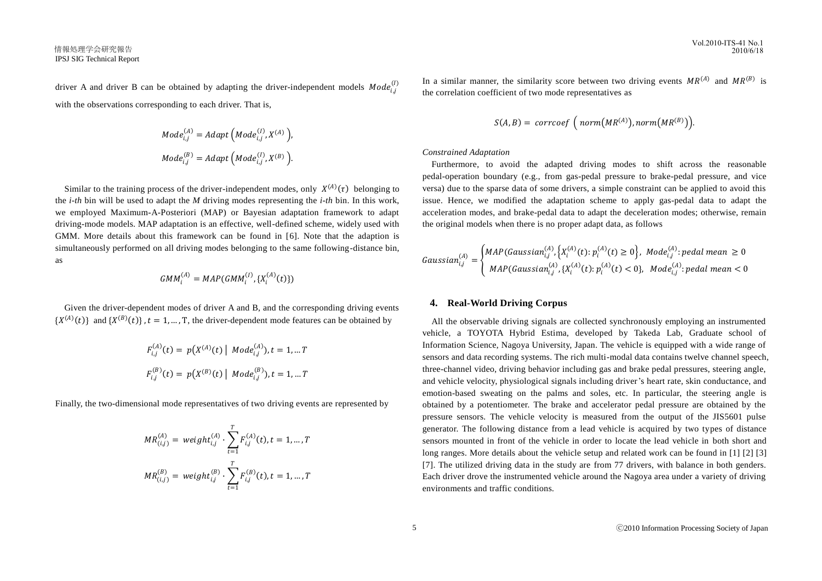driver A and driver B can be obtained by adapting the driver-independent models  $\textit{Mode}_{i,j}^{(l)}$ with the observations corresponding to each driver. That is,

$$
Mode_{i,j}^{(A)} = Adapt \left( Mode_{i,j}^{(I)}, X^{(A)} \right),
$$

$$
Mode_{i,j}^{(B)} = Adapt \left( Mode_{i,j}^{(I)}, X^{(B)} \right).
$$

Similar to the training process of the driver-independent modes, only  $X^{(A)}(\tau)$  belonging to the *i-th* bin will be used to adapt the *M* driving modes representing the *i-th* bin. In this work, we employed Maximum-A-Posteriori (MAP) or Bayesian adaptation framework to adapt driving-mode models. MAP adaptation is an effective, well-defined scheme, widely used with GMM. More details about this framework can be found in [6]. Note that the adaption is simultaneously performed on all driving modes belonging to the same following-distance bin, as

$$
GMM_i^{(A)} = MAP(GMM_i^{(I)}, \{X_i^{(A)}(t)\})
$$

Given the driver-dependent modes of driver A and B, and the corresponding driving events  ${X^{(A)}(t)}$  and  ${X^{(B)}(t)}$ ,  $t = 1, ..., T$ , the driver-dependent mode features can be obtained by

$$
F_{i,j}^{(A)}(t) = p(X^{(A)}(t) | Model_{i,j}^{(A)}), t = 1, ... T
$$
  

$$
F_{i,j}^{(B)}(t) = p(X^{(B)}(t) | Model_{i,j}^{(B)}), t = 1, ... T
$$

Finally, the two-dimensional mode representatives of two driving events are represented by

$$
MR_{(i,j)}^{(A)} = weight_{i,j}^{(A)} \cdot \sum_{t=1}^{T} F_{i,j}^{(A)}(t), t = 1, ..., T
$$
  

$$
MR_{(i,j)}^{(B)} = weight_{i,j}^{(B)} \cdot \sum_{t=1}^{T} F_{i,j}^{(B)}(t), t = 1, ..., T
$$

In a similar manner, the similarity score between two driving events  $MR<sup>(A)</sup>$  and  $MR<sup>(B)</sup>$  is the correlation coefficient of two mode representatives as

$$
S(A,B) = \,\, \text{correct}\,\left(\,\, \text{norm}\big(MR^{(A)}\big),\, \text{norm}\big(MR^{(B)}\big)\right).
$$

#### *Constrained Adaptation*

Furthermore, to avoid the adapted driving modes to shift across the reasonable pedal-operation boundary (e.g., from gas-pedal pressure to brake-pedal pressure, and vice versa) due to the sparse data of some drivers, a simple constraint can be applied to avoid this issue. Hence, we modified the adaptation scheme to apply gas-pedal data to adapt the acceleration modes, and brake-pedal data to adapt the deceleration modes; otherwise, remain the original models when there is no proper adapt data, as follows

$$
Gaussian_{i,j}^{(A)} = \begin{cases} MAP(Gaussian_{i,j}^{(A)}, \{X_i^{(A)}(t): p_i^{(A)}(t) \ge 0\}, \ Model_{i,j}^{(A)}: pedal mean \ge 0 \\ MAP(Gaussian_{i,j}^{(A)}, \{X_i^{(A)}(t): p_i^{(A)}(t) < 0\}, \ Model_{i,j}^{(A)}: pedal mean < 0 \end{cases}
$$

# **4. Real-World Driving Corpus**

All the observable driving signals are collected synchronously employing an instrumented vehicle, a TOYOTA Hybrid Estima, developed by Takeda Lab, Graduate school of Information Science, Nagoya University, Japan. The vehicle is equipped with a wide range of sensors and data recording systems. The rich multi-modal data contains twelve channel speech, three-channel video, driving behavior including gas and brake pedal pressures, steering angle, and vehicle velocity, physiological signals including driver"s heart rate, skin conductance, and emotion-based sweating on the palms and soles, etc. In particular, the steering angle is obtained by a potentiometer. The brake and accelerator pedal pressure are obtained by the pressure sensors. The vehicle velocity is measured from the output of the JIS5601 pulse generator. The following distance from a lead vehicle is acquired by two types of distance sensors mounted in front of the vehicle in order to locate the lead vehicle in both short and long ranges. More details about the vehicle setup and related work can be found in [1] [2] [3] [7]. The utilized driving data in the study are from 77 drivers, with balance in both genders. Each driver drove the instrumented vehicle around the Nagoya area under a variety of driving environments and traffic conditions.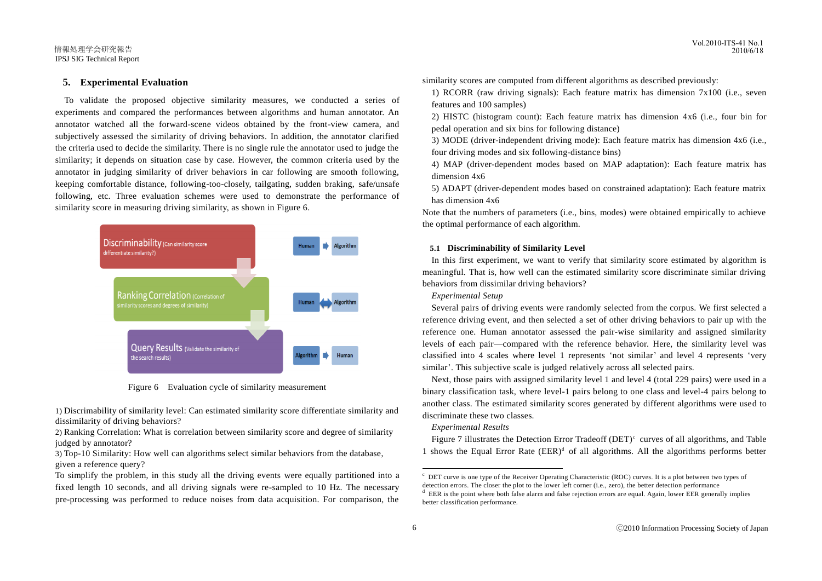#### Vol.2010-ITS-41 No.1 2010/6/18

#### 情報処理学会研究報告 IPSJ SIG Technical Report

# **5. Experimental Evaluation**

To validate the proposed objective similarity measures, we conducted a series of experiments and compared the performances between algorithms and human annotator. An annotator watched all the forward-scene videos obtained by the front-view camera, and subjectively assessed the similarity of driving behaviors. In addition, the annotator clarified the criteria used to decide the similarity. There is no single rule the annotator used to judge the similarity; it depends on situation case by case. However, the common criteria used by the annotator in judging similarity of driver behaviors in car following are smooth following, keeping comfortable distance, following-too-closely, tailgating, sudden braking, safe/unsafe following, etc. Three evaluation schemes were used to demonstrate the performance of similarity score in measuring driving similarity, as shown in Figure 6.



Figure 6 Evaluation cycle of similarity measurement

1) Discrimability of similarity level: Can estimated similarity score differentiate similarity and dissimilarity of driving behaviors?

2) Ranking Correlation: What is correlation between similarity score and degree of similarity judged by annotator?

3) Top-10 Similarity: How well can algorithms select similar behaviors from the database, given a reference query?

similarity scores are computed from different algorithms as described previously:

1) RCORR (raw driving signals): Each feature matrix has dimension 7x100 (i.e., seven features and 100 samples)

2) HISTC (histogram count): Each feature matrix has dimension 4x6 (i.e., four bin for pedal operation and six bins for following distance)

3) MODE (driver-independent driving mode): Each feature matrix has dimension 4x6 (i.e., four driving modes and six following-distance bins)

4) MAP (driver-dependent modes based on MAP adaptation): Each feature matrix has dimension 4x6

5) ADAPT (driver-dependent modes based on constrained adaptation): Each feature matrix has dimension 4x6

Note that the numbers of parameters (i.e., bins, modes) were obtained empirically to achieve the optimal performance of each algorithm.

#### **5.1 Discriminability of Similarity Level**

In this first experiment, we want to verify that similarity score estimated by algorithm is meaningful. That is, how well can the estimated similarity score discriminate similar driving behaviors from dissimilar driving behaviors?

## *Experimental Setup*

Several pairs of driving events were randomly selected from the corpus. We first selected a reference driving event, and then selected a set of other driving behaviors to pair up with the reference one. Human annotator assessed the pair-wise similarity and assigned similarity levels of each pair—compared with the reference behavior. Here, the similarity level was classified into 4 scales where level 1 represents "not similar" and level 4 represents "very similar'. This subjective scale is judged relatively across all selected pairs.

Next, those pairs with assigned similarity level 1 and level 4 (total 229 pairs) were used in a binary classification task, where level-1 pairs belong to one class and level-4 pairs belong to another class. The estimated similarity scores generated by different algorithms were used to discriminate these two classes.

#### *Experimental Results*

Figure 7 illustrates the Detection Error Tradeoff (DET) $\degree$  curves of all algorithms, and Table 1 shows the Equal Error Rate  $(EER)^d$  of all algorithms. All the algorithms performs better

 $\overline{a}$ 

To simplify the problem, in this study all the driving events were equally partitioned into a fixed length 10 seconds, and all driving signals were re-sampled to 10 Hz. The necessary pre-processing was performed to reduce noises from data acquisition. For comparison, the

<sup>&</sup>lt;sup>c</sup> DET curve is one type of the Receiver Operating Characteristic (ROC) curves. It is a plot between two types of detection errors. The closer the plot to the lower left corner (i.e., zero), the better detection performance

<sup>&</sup>lt;sup>d</sup> EER is the point where both false alarm and false rejection errors are equal. Again, lower EER generally implies better classification performance.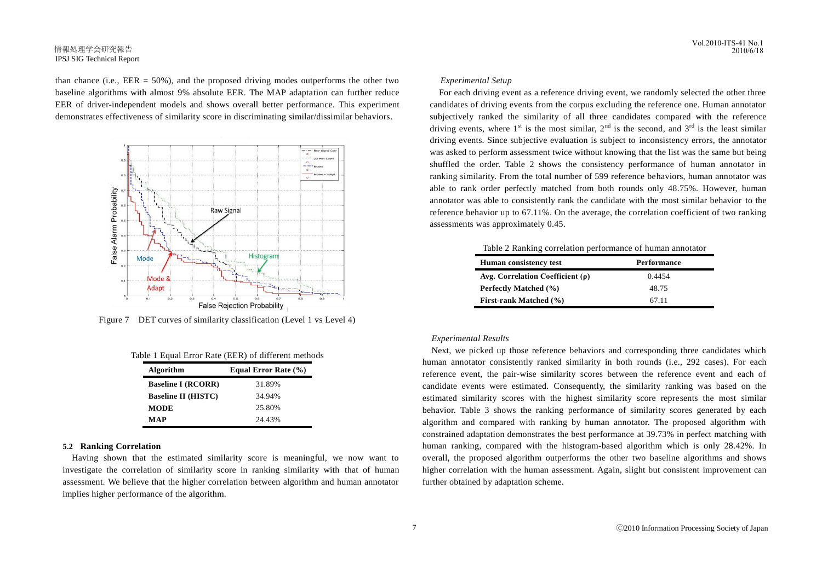# 情報処理学会研究報告 IPSJ SIG Technical Report

than chance (i.e.,  $EER = 50\%$ ), and the proposed driving modes outperforms the other two baseline algorithms with almost 9% absolute EER. The MAP adaptation can further reduce EER of driver-independent models and shows overall better performance. This experiment demonstrates effectiveness of similarity score in discriminating similar/dissimilar behaviors.



Figure 7 DET curves of similarity classification (Level 1 vs Level 4)

|  |  |  |  | Table 1 Equal Error Rate (EER) of different methods |  |
|--|--|--|--|-----------------------------------------------------|--|
|--|--|--|--|-----------------------------------------------------|--|

| Algorithm                  | Equal Error Rate (%) |  |  |
|----------------------------|----------------------|--|--|
| <b>Baseline I (RCORR)</b>  | 31.89%               |  |  |
| <b>Baseline II (HISTC)</b> | 34.94%               |  |  |
| MODE                       | 25.80%               |  |  |
| MAP                        | 24.43%               |  |  |

# **5.2 Ranking Correlation**

Having shown that the estimated similarity score is meaningful, we now want to investigate the correlation of similarity score in ranking similarity with that of human assessment. We believe that the higher correlation between algorithm and human annotator implies higher performance of the algorithm.

#### *Experimental Setup*

For each driving event as a reference driving event, we randomly selected the other three candidates of driving events from the corpus excluding the reference one. Human annotator subjectively ranked the similarity of all three candidates compared with the reference driving events, where  $1^{st}$  is the most similar,  $2^{nd}$  is the second, and  $3^{rd}$  is the least similar driving events. Since subjective evaluation is subject to inconsistency errors, the annotator was asked to perform assessment twice without knowing that the list was the same but being shuffled the order. Table 2 shows the consistency performance of human annotator in ranking similarity. From the total number of 599 reference behaviors, human annotator was able to rank order perfectly matched from both rounds only 48.75%. However, human annotator was able to consistently rank the candidate with the most similar behavior to the reference behavior up to 67.11%. On the average, the correlation coefficient of two ranking assessments was approximately 0.45.

| llandra a contrata anno 1970. | $\mathbf{D}$ and $\mathbf{c}$ and $\mathbf{c}$ and $\mathbf{c}$ |
|-------------------------------|-----------------------------------------------------------------|
|                               |                                                                 |
|                               | Table 2 Ranking correlation performance of human annotator      |

| <b>Human consistency test</b>         | <b>Performance</b> |  |  |
|---------------------------------------|--------------------|--|--|
| Avg. Correlation Coefficient $(\rho)$ | 0.4454             |  |  |
| Perfectly Matched (%)                 | 48.75              |  |  |
| <b>First-rank Matched</b> (%)         | 67.11              |  |  |

#### *Experimental Results*

Next, we picked up those reference behaviors and corresponding three candidates which human annotator consistently ranked similarity in both rounds (i.e., 292 cases). For each reference event, the pair-wise similarity scores between the reference event and each of candidate events were estimated. Consequently, the similarity ranking was based on the estimated similarity scores with the highest similarity score represents the most similar behavior. Table 3 shows the ranking performance of similarity scores generated by each algorithm and compared with ranking by human annotator. The proposed algorithm with constrained adaptation demonstrates the best performance at 39.73% in perfect matching with human ranking, compared with the histogram-based algorithm which is only 28.42%. In overall, the proposed algorithm outperforms the other two baseline algorithms and shows higher correlation with the human assessment. Again, slight but consistent improvement can further obtained by adaptation scheme.